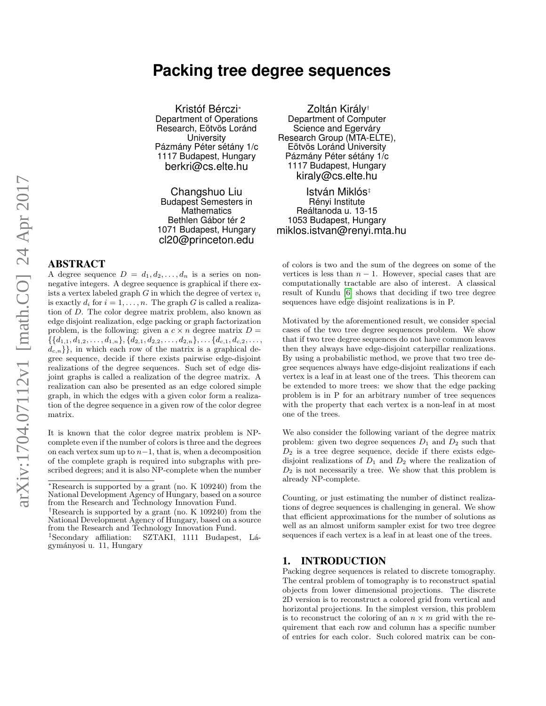# **Packing tree degree sequences**

Kristóf Bérczi<sup>∗</sup> Department of Operations Research, Eötvös Loránd **University** Pázmány Péter sétány 1/c 1117 Budapest, Hungary berkri@cs.elte.hu

Changshuo Liu Budapest Semesters in **Mathematics** Bethlen Gábor tér 2 1071 Budapest, Hungary cl20@princeton.edu

# ABSTRACT

A degree sequence  $D = d_1, d_2, \ldots, d_n$  is a series on nonnegative integers. A degree sequence is graphical if there exists a vertex labeled graph  $G$  in which the degree of vertex  $v_i$ is exactly  $d_i$  for  $i = 1, \ldots, n$ . The graph G is called a realization of D. The color degree matrix problem, also known as edge disjoint realization, edge packing or graph factorization problem, is the following: given a  $c \times n$  degree matrix  $D =$  $\{\{d_{1,1}, d_{1,2}, \ldots, d_{1,n}\}, \{d_{2,1}, d_{2,2}, \ldots, d_{2,n}\}, \ldots \{d_{c,1}, d_{c,2}, \ldots,$  $d_{c,n}$ }, in which each row of the matrix is a graphical degree sequence, decide if there exists pairwise edge-disjoint realizations of the degree sequences. Such set of edge disjoint graphs is called a realization of the degree matrix. A realization can also be presented as an edge colored simple graph, in which the edges with a given color form a realization of the degree sequence in a given row of the color degree matrix.

It is known that the color degree matrix problem is NPcomplete even if the number of colors is three and the degrees on each vertex sum up to  $n-1$ , that is, when a decomposition of the complete graph is required into subgraphs with prescribed degrees; and it is also NP-complete when the number

†Research is supported by a grant (no. K 109240) from the National Development Agency of Hungary, based on a source from the Research and Technology Innovation Fund.

‡Secondary affiliation: SZTAKI, 1111 Budapest, L´agym´anyosi u. 11, Hungary

Zoltán Király† Department of Computer Science and Egerváry Research Group (MTA-ELTE), Eötvös Loránd University Pázmány Péter sétány 1/c 1117 Budapest, Hungary kiraly@cs.elte.hu

István Miklós‡ Rényi Institute Reáltanoda u. 13-15 1053 Budapest, Hungary miklos.istvan@renyi.mta.hu

of colors is two and the sum of the degrees on some of the vertices is less than  $n - 1$ . However, special cases that are computationally tractable are also of interest. A classical result of Kundu [\[6\]](#page-6-0) shows that deciding if two tree degree sequences have edge disjoint realizations is in P.

Motivated by the aforementioned result, we consider special cases of the two tree degree sequences problem. We show that if two tree degree sequences do not have common leaves then they always have edge-disjoint caterpillar realizations. By using a probabilistic method, we prove that two tree degree sequences always have edge-disjoint realizations if each vertex is a leaf in at least one of the trees. This theorem can be extended to more trees: we show that the edge packing problem is in P for an arbitrary number of tree sequences with the property that each vertex is a non-leaf in at most one of the trees.

We also consider the following variant of the degree matrix problem: given two degree sequences  $D_1$  and  $D_2$  such that  $D_2$  is a tree degree sequence, decide if there exists edgedisjoint realizations of  $D_1$  and  $D_2$  where the realization of  $D_2$  is not necessarily a tree. We show that this problem is already NP-complete.

Counting, or just estimating the number of distinct realizations of degree sequences is challenging in general. We show that efficient approximations for the number of solutions as well as an almost uniform sampler exist for two tree degree sequences if each vertex is a leaf in at least one of the trees.

### 1. INTRODUCTION

Packing degree sequences is related to discrete tomography. The central problem of tomography is to reconstruct spatial objects from lower dimensional projections. The discrete 2D version is to reconstruct a colored grid from vertical and horizontal projections. In the simplest version, this problem is to reconstruct the coloring of an  $n \times m$  grid with the requirement that each row and column has a specific number of entries for each color. Such colored matrix can be con-

<sup>∗</sup>Research is supported by a grant (no. K 109240) from the National Development Agency of Hungary, based on a source from the Research and Technology Innovation Fund.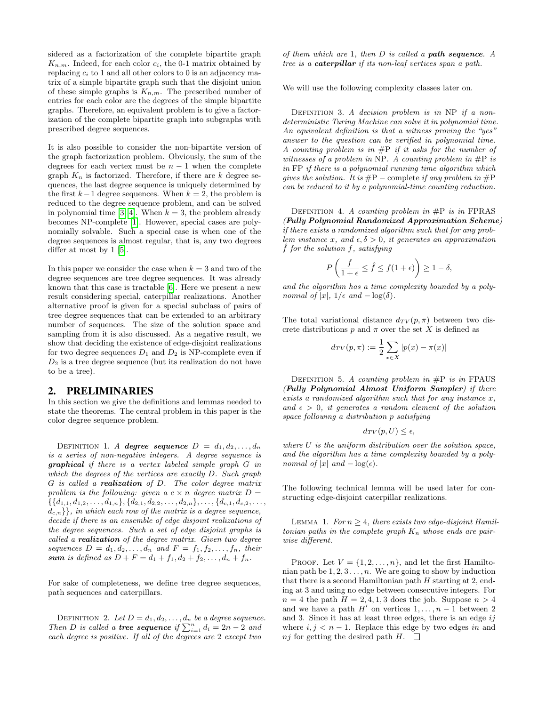sidered as a factorization of the complete bipartite graph  $K_{n,m}$ . Indeed, for each color  $c_i$ , the 0-1 matrix obtained by replacing  $c_i$  to 1 and all other colors to 0 is an adjacency matrix of a simple bipartite graph such that the disjoint union of these simple graphs is  $K_{n,m}$ . The prescribed number of entries for each color are the degrees of the simple bipartite graphs. Therefore, an equivalent problem is to give a factorization of the complete bipartite graph into subgraphs with prescribed degree sequences.

It is also possible to consider the non-bipartite version of the graph factorization problem. Obviously, the sum of the degrees for each vertex must be  $n - 1$  when the complete graph  $K_n$  is factorized. Therefore, if there are k degree sequences, the last degree sequence is uniquely determined by the first  $k-1$  degree sequences. When  $k = 2$ , the problem is reduced to the degree sequence problem, and can be solved in polynomial time [\[3,](#page-6-1) [4\]](#page-6-2). When  $k = 3$ , the problem already becomes NP-complete [\[1\]](#page-6-3). However, special cases are polynomially solvable. Such a special case is when one of the degree sequences is almost regular, that is, any two degrees differ at most by 1 [\[5\]](#page-6-4).

In this paper we consider the case when  $k = 3$  and two of the degree sequences are tree degree sequences. It was already known that this case is tractable [\[6\]](#page-6-0). Here we present a new result considering special, caterpillar realizations. Another alternative proof is given for a special subclass of pairs of tree degree sequences that can be extended to an arbitrary number of sequences. The size of the solution space and sampling from it is also discussed. As a negative result, we show that deciding the existence of edge-disjoint realizations for two degree sequences  $D_1$  and  $D_2$  is NP-complete even if  $D_2$  is a tree degree sequence (but its realization do not have to be a tree).

#### 2. PRELIMINARIES

In this section we give the definitions and lemmas needed to state the theorems. The central problem in this paper is the color degree sequence problem.

DEFINITION 1. A degree sequence  $D = d_1, d_2, \ldots, d_n$ is a series of non-negative integers. A degree sequence is graphical if there is a vertex labeled simple graph G in which the degrees of the vertices are exactly D. Such graph G is called a realization of D. The color degree matrix problem is the following: given a  $c \times n$  degree matrix  $D =$  $\{\{d_{1,1}, d_{1,2}, \ldots, d_{1,n}\}, \{d_{2,1}, d_{2,2}, \ldots, d_{2,n}\}, \ldots, \{d_{c,1}, d_{c,2}, \ldots,$  $d_{c,n}$ }, in which each row of the matrix is a degree sequence, decide if there is an ensemble of edge disjoint realizations of the degree sequences. Such a set of edge disjoint graphs is called a realization of the degree matrix. Given two degree sequences  $D = d_1, d_2, \ldots, d_n$  and  $F = f_1, f_2, \ldots, f_n$ , their sum is defined as  $D + F = d_1 + f_1, d_2 + f_2, ..., d_n + f_n$ .

For sake of completeness, we define tree degree sequences, path sequences and caterpillars.

DEFINITION 2. Let  $D = d_1, d_2, \ldots, d_n$  be a degree sequence. Then D is called a **tree sequence** if  $\sum_{i=1}^{n} d_i = 2n - 2$  and each degree is positive. If all of the degrees are 2 except two

of them which are  $1$ , then  $D$  is called a **path sequence**. A tree is a caterpillar if its non-leaf vertices span a path.

We will use the following complexity classes later on.

DEFINITION 3. A decision problem is in NP if a nondeterministic Turing Machine can solve it in polynomial time. An equivalent definition is that a witness proving the "yes" answer to the question can be verified in polynomial time. A counting problem is in  $\#P$  if it asks for the number of witnesses of a problem in NP. A counting problem in  $\#P$  is in FP if there is a polynomial running time algorithm which gives the solution. It is  $\#P$  – complete if any problem in  $\#P$ can be reduced to it by a polynomial-time counting reduction.

DEFINITION 4. A counting problem in  $\#P$  is in FPRAS (Fully Polynomial Randomized Approximation Scheme) if there exists a randomized algorithm such that for any problem instance x, and  $\epsilon, \delta > 0$ , it generates an approximation  $\hat{f}$  for the solution f, satisfying

$$
P\left(\frac{f}{1+\epsilon} \le \hat{f} \le f(1+\epsilon)\right) \ge 1-\delta,
$$

and the algorithm has a time complexity bounded by a polynomial of  $|x|$ ,  $1/\epsilon$  and  $-\log(\delta)$ .

The total variational distance  $d_{TV}(p, \pi)$  between two discrete distributions p and  $\pi$  over the set X is defined as

$$
d_{TV}(p, \pi) := \frac{1}{2} \sum_{x \in X} |p(x) - \pi(x)|
$$

DEFINITION 5. A counting problem in  $\#P$  is in FPAUS (Fully Polynomial Almost Uniform Sampler) if there exists a randomized algorithm such that for any instance  $x$ , and  $\epsilon > 0$ , it generates a random element of the solution space following a distribution p satisfying

$$
d_{TV}(p, U) \le \epsilon,
$$

where  $U$  is the uniform distribution over the solution space, and the algorithm has a time complexity bounded by a polynomial of |x| and  $-\log(\epsilon)$ .

<span id="page-1-0"></span>The following technical lemma will be used later for constructing edge-disjoint caterpillar realizations.

LEMMA 1. For  $n \geq 4$ , there exists two edge-disjoint Hamiltonian paths in the complete graph  $K_n$  whose ends are pairwise different.

PROOF. Let  $V = \{1, 2, ..., n\}$ , and let the first Hamiltonian path be  $1, 2, 3, \ldots, n$ . We are going to show by induction that there is a second Hamiltonian path  $H$  starting at 2, ending at 3 and using no edge between consecutive integers. For  $n = 4$  the path  $H = 2, 4, 1, 3$  does the job. Suppose  $n > 4$ and we have a path  $H'$  on vertices  $1, \ldots, n - 1$  between 2 and 3. Since it has at least three edges, there is an edge  $ij$ where  $i, j < n - 1$ . Replace this edge by two edges in and nj for getting the desired path H.  $\Box$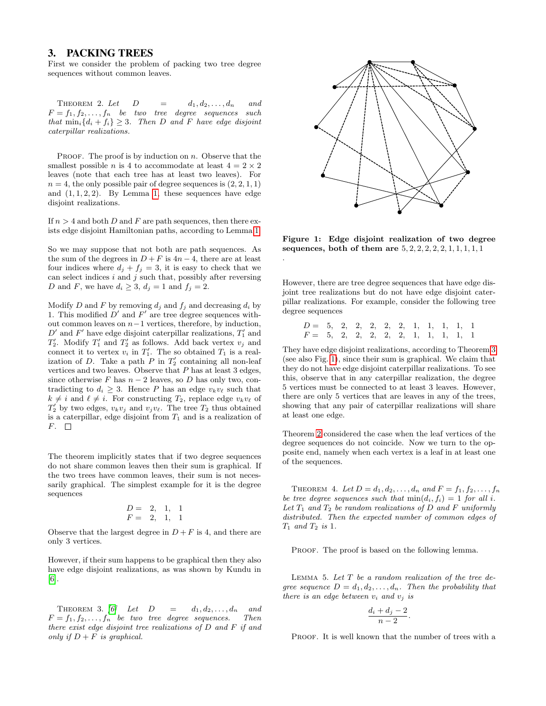### 3. PACKING TREES

<span id="page-2-2"></span>First we consider the problem of packing two tree degree sequences without common leaves.

THEOREM 2. Let  $D = d_1, d_2, \ldots, d_n$  and  $F = f_1, f_2, \ldots, f_n$  be two tree degree sequences such that  $\min_i \{d_i + f_i\} \geq 3$ . Then D and F have edge disjoint caterpillar realizations.

PROOF. The proof is by induction on  $n$ . Observe that the smallest possible *n* is 4 to accommodate at least  $4 = 2 \times 2$ leaves (note that each tree has at least two leaves). For  $n = 4$ , the only possible pair of degree sequences is  $(2, 2, 1, 1)$ and  $(1, 1, 2, 2)$  $(1, 1, 2, 2)$  $(1, 1, 2, 2)$ . By Lemma 1, these sequences have edge disjoint realizations.

If  $n > 4$  and both D and F are path sequences, then there exists edge disjoint Hamiltonian paths, according to Lemma [1.](#page-1-0)

So we may suppose that not both are path sequences. As the sum of the degrees in  $D + F$  is  $4n - 4$ , there are at least four indices where  $d_j + f_j = 3$ , it is easy to check that we can select indices  $i$  and  $j$  such that, possibly after reversing D and F, we have  $d_i \geq 3$ ,  $d_j = 1$  and  $f_j = 2$ .

Modify D and F by removing  $d_j$  and  $f_j$  and decreasing  $d_i$  by 1. This modified  $D'$  and  $F'$  are tree degree sequences without common leaves on  $n-1$  vertices, therefore, by induction,  $D'$  and  $F'$  have edge disjoint caterpillar realizations,  $T'_1$  and  $T_2'$ . Modify  $T_1'$  and  $T_2'$  as follows. Add back vertex  $v_j$  and connect it to vertex  $v_i$  in  $T'_1$ . The so obtained  $T_1$  is a realization of D. Take a path  $P$  in  $T'_2$  containing all non-leaf vertices and two leaves. Observe that  $P$  has at least 3 edges, since otherwise F has  $n-2$  leaves, so D has only two, contradicting to  $d_i \geq 3$ . Hence P has an edge  $v_kv_\ell$  such that  $k \neq i$  and  $\ell \neq i$ . For constructing  $T_2$ , replace edge  $v_kv_\ell$  of  $T'_2$  by two edges,  $v_kv_j$  and  $v_jv_\ell$ . The tree  $T_2$  thus obtained is a caterpillar, edge disjoint from  $T_1$  and is a realization of  $F. \square$ 

The theorem implicitly states that if two degree sequences do not share common leaves then their sum is graphical. If the two trees have common leaves, their sum is not necessarily graphical. The simplest example for it is the degree sequences

$$
\begin{array}{cccc} D = & 2, & 1, & 1 \\ F = & 2, & 1, & 1 \end{array}
$$

Observe that the largest degree in  $D + F$  is 4, and there are only 3 vertices.

However, if their sum happens to be graphical then they also have edge disjoint realizations, as was shown by Kundu in [\[6\]](#page-6-0).

<span id="page-2-0"></span>THEOREM 3. [\[6\]](#page-6-0) Let  $D = d_1, d_2, \ldots, d_n$  and  $F = f_1, f_2, \ldots, f_n$  be two tree degree sequences. Then there exist edge disjoint tree realizations of  $D$  and  $F$  if and only if  $D + F$  is graphical.



<span id="page-2-1"></span>Figure 1: Edge disjoint realization of two degree sequences, both of them are  $5, 2, 2, 2, 2, 2, 1, 1, 1, 1, 1$ 

.

However, there are tree degree sequences that have edge disjoint tree realizations but do not have edge disjoint caterpillar realizations. For example, consider the following tree degree sequences

> $D = 5, 2, 2, 2, 2, 2, 1, 1, 1, 1, 1$  $F = 5, 2, 2, 2, 2, 2, 1, 1, 1, 1, 1$

They have edge disjoint realizations, according to Theorem [3](#page-2-0) (see also Fig. [1\)](#page-2-1), since their sum is graphical. We claim that they do not have edge disjoint caterpillar realizations. To see this, observe that in any caterpillar realization, the degree 5 vertices must be connected to at least 3 leaves. However, there are only 5 vertices that are leaves in any of the trees, showing that any pair of caterpillar realizations will share at least one edge.

Theorem [2](#page-2-2) considered the case when the leaf vertices of the degree sequences do not coincide. Now we turn to the opposite end, namely when each vertex is a leaf in at least one of the sequences.

<span id="page-2-3"></span>THEOREM 4. Let  $D = d_1, d_2, ..., d_n$  and  $F = f_1, f_2, ..., f_n$ be tree degree sequences such that  $min(d_i, f_i) = 1$  for all i. Let  $T_1$  and  $T_2$  be random realizations of D and F uniformly distributed. Then the expected number of common edges of  $T_1$  and  $T_2$  is 1.

PROOF. The proof is based on the following lemma.

LEMMA 5. Let  $T$  be a random realization of the tree degree sequence  $D = d_1, d_2, \ldots, d_n$ . Then the probability that there is an edge between  $v_i$  and  $v_j$  is

$$
\frac{d_i+d_j-2}{n-2}.
$$

PROOF. It is well known that the number of trees with a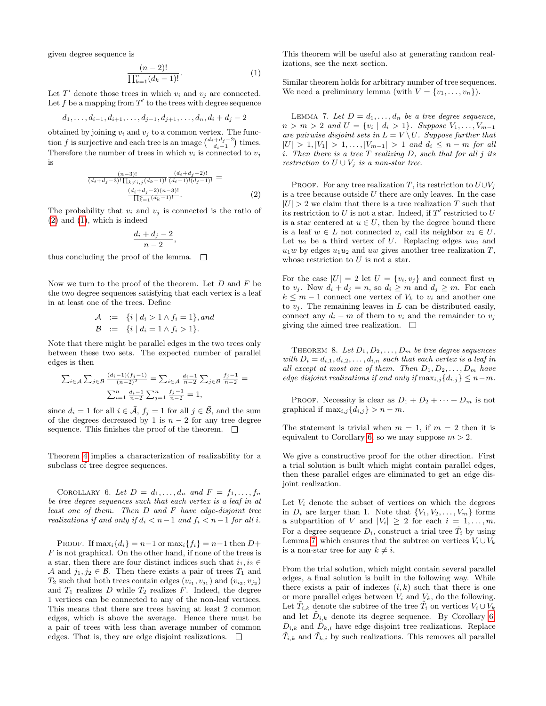given degree sequence is

<span id="page-3-1"></span>
$$
\frac{(n-2)!}{\prod_{k=1}^{n}(d_k-1)!}.
$$
 (1)

Let  $T'$  denote those trees in which  $v_i$  and  $v_j$  are connected. Let f be a mapping from  $T'$  to the trees with degree sequence

$$
d_1, \ldots, d_{i-1}, d_{i+1}, \ldots, d_{j-1}, d_{j+1}, \ldots, d_n, d_i + d_j - 2
$$

obtained by joining  $v_i$  and  $v_j$  to a common vertex. The function f is surjective and each tree is an image  $\binom{d_i+d_j-2}{d_i-1}$  times. Therefore the number of trees in which  $v_i$  is connected to  $v_j$ is

<span id="page-3-0"></span>
$$
\frac{(n-3)!}{(d_i+d_j-3)! \prod_{k \neq i,j} (d_k-1)!} \frac{(d_i+d_j-2)!}{(d_i-1)!(d_j-1)!} = \frac{(d_i+d_j-2)(n-3)!}{\prod_{k=1}^n (d_k-1)!}.
$$
\n(2)

The probability that  $v_i$  and  $v_j$  is connected is the ratio of [\(2\)](#page-3-0) and [\(1\)](#page-3-1), which is indeed

$$
\frac{d_i + d_j - 2}{n-2},
$$

thus concluding the proof of the lemma.  $\square$ 

Now we turn to the proof of the theorem. Let  $D$  and  $F$  be the two degree sequences satisfying that each vertex is a leaf in at least one of the trees. Define

$$
\begin{array}{rcl} \mathcal{A} & := & \{i \mid d_i > 1 \land f_i = 1\}, \text{and} \\ \mathcal{B} & := & \{i \mid d_i = 1 \land f_i > 1\}. \end{array}
$$

Note that there might be parallel edges in the two trees only between these two sets. The expected number of parallel edges is then

$$
\sum_{i \in \mathcal{A}} \sum_{j \in \mathcal{B}} \frac{(d_i - 1)(f_j - 1)}{(n - 2)^2} = \sum_{i \in \mathcal{A}} \frac{d_i - 1}{n - 2} \sum_{j \in \mathcal{B}} \frac{f_j - 1}{n - 2} =
$$
  

$$
\sum_{i=1}^n \frac{d_i - 1}{n - 2} \sum_{j=1}^n \frac{f_j - 1}{n - 2} = 1,
$$

since  $d_i = 1$  for all  $i \in \overline{A}$ ,  $f_j = 1$  for all  $j \in \overline{B}$ , and the sum of the degrees decreased by 1 is  $n-2$  for any tree degree sequence. This finishes the proof of the theorem.  $\Box$ 

<span id="page-3-2"></span>Theorem [4](#page-2-3) implies a characterization of realizability for a subclass of tree degree sequences.

COROLLARY 6. Let  $D = d_1, \ldots, d_n$  and  $F = f_1, \ldots, f_n$ be tree degree sequences such that each vertex is a leaf in at least one of them. Then D and F have edge-disjoint tree realizations if and only if  $d_i < n-1$  and  $f_i < n-1$  for all i.

PROOF. If  $\max_i \{d_i\} = n-1$  or  $\max_i \{f_i\} = n-1$  then  $D+$  $F$  is not graphical. On the other hand, if none of the trees is a star, then there are four distinct indices such that  $i_1, i_2 \in$ A and  $j_1, j_2 \in \mathcal{B}$ . Then there exists a pair of trees  $T_1$  and  $T_2$  such that both trees contain edges  $(v_{i_1}, v_{j_1})$  and  $(v_{i_2}, v_{j_2})$ and  $T_1$  realizes D while  $T_2$  realizes F. Indeed, the degree 1 vertices can be connected to any of the non-leaf vertices. This means that there are trees having at least 2 common edges, which is above the average. Hence there must be a pair of trees with less than average number of common edges. That is, they are edge disjoint realizations.  $\Box$ 

This theorem will be useful also at generating random realizations, see the next section.

Similar theorem holds for arbitrary number of tree sequences. We need a preliminary lemma (with  $V = \{v_1, \ldots, v_n\}$ ).

<span id="page-3-3"></span>LEMMA 7. Let  $D = d_1, \ldots, d_n$  be a tree degree sequence,  $n > m > 2$  and  $U = \{v_i \mid d_i > 1\}$ . Suppose  $V_1, \ldots, V_{m-1}$ are pairwise disjoint sets in  $L = V \setminus U$ . Suppose further that  $|U| > 1, |V_1| > 1, \ldots, |V_{m-1}| > 1$  and  $d_i \leq n-m$  for all i. Then there is a tree  $T$  realizing  $D$ , such that for all j its restriction to  $U \cup V_j$  is a non-star tree.

PROOF. For any tree realization T, its restriction to  $U\cup V_j$ is a tree because outside  $U$  there are only leaves. In the case  $|U| > 2$  we claim that there is a tree realization T such that its restriction to U is not a star. Indeed, if  $T'$  restricted to U is a star centered at  $u \in U$ , then by the degree bound there is a leaf  $w \in L$  not connected u, call its neighbor  $u_1 \in U$ . Let  $u_2$  be a third vertex of U. Replacing edges  $uu_2$  and  $u_1w$  by edges  $u_1u_2$  and uw gives another tree realization T, whose restriction to  $U$  is not a star.

For the case  $|U| = 2$  let  $U = \{v_i, v_j\}$  and connect first  $v_1$ to  $v_j$ . Now  $d_i + d_j = n$ , so  $d_i \geq m$  and  $d_j \geq m$ . For each  $k \leq m-1$  connect one vertex of  $V_k$  to  $v_i$  and another one to  $v_j$ . The remaining leaves in L can be distributed easily, connect any  $d_i - m$  of them to  $v_i$  and the remainder to  $v_j$ giving the aimed tree realization.  $\Box$ 

THEOREM 8. Let  $D_1, D_2, \ldots, D_m$  be tree degree sequences with  $D_i = d_{i,1}, d_{i,2}, \ldots, d_{i,n}$  such that each vertex is a leaf in all except at most one of them. Then  $D_1, D_2, \ldots, D_m$  have edge disjoint realizations if and only if  $\max_{i,j} \{d_{i,j}\} \leq n-m$ .

PROOF. Necessity is clear as  $D_1 + D_2 + \cdots + D_m$  is not graphical if  $\max_{i,j} \{d_{i,j}\} > n-m$ .

The statement is trivial when  $m = 1$ , if  $m = 2$  then it is equivalent to Corollary [6,](#page-3-2) so we may suppose  $m > 2$ .

We give a constructive proof for the other direction. First a trial solution is built which might contain parallel edges, then these parallel edges are eliminated to get an edge disjoint realization.

Let  $V_i$  denote the subset of vertices on which the degrees in  $D_i$  are larger than 1. Note that  $\{V_1, V_2, \ldots, V_m\}$  forms a subpartition of V and  $|V_i| \geq 2$  for each  $i = 1, \ldots, m$ . For a degree sequence  $D_i$ , construct a trial tree  $T_i$  by using Lemma [7,](#page-3-3) which ensures that the subtree on vertices  $V_i \cup V_k$ is a non-star tree for any  $k \neq i$ .

From the trial solution, which might contain several parallel edges, a final solution is built in the following way. While there exists a pair of indexes  $(i, k)$  such that there is one or more parallel edges between  $V_i$  and  $V_k$ , do the following. Let  $\tilde{T}_{i,k}$  denote the subtree of the tree  $\tilde{T}_i$  on vertices  $V_i \cup V_k$ and let  $\tilde{D}_{i,k}$  denote its degree sequence. By Corollary [6,](#page-3-2)  $\tilde{D}_{i,k}$  and  $\tilde{D}_{k,i}$  have edge disjoint tree realizations. Replace  $\tilde{T}_{i,k}$  and  $\tilde{T}_{k,i}$  by such realizations. This removes all parallel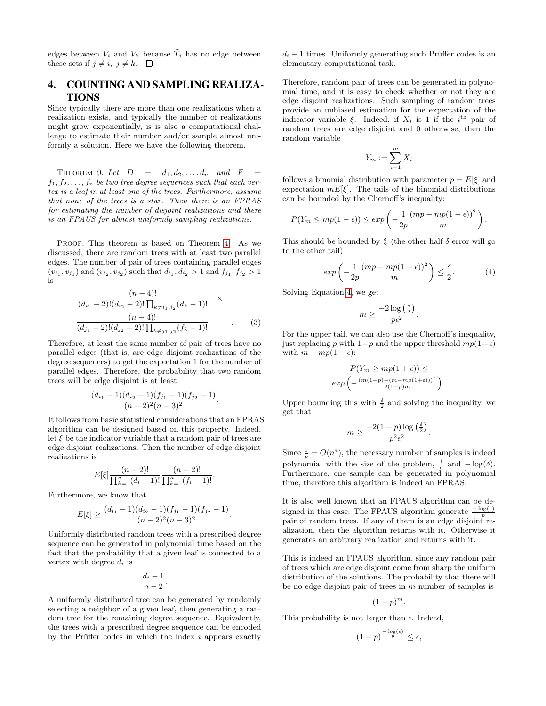edges between  $V_i$  and  $V_k$  because  $\tilde{T}_i$  has no edge between these sets if  $j \neq i, j \neq k$ .  $\Box$ 

# 4. COUNTING AND SAMPLING REALIZA-TIONS

Since typically there are more than one realizations when a realization exists, and typically the number of realizations might grow exponentially, is is also a computational challenge to estimate their number and/or sample almost uniformly a solution. Here we have the following theorem.

THEOREM 9. Let  $D = d_1, d_2, \ldots, d_n$  and  $F =$  $f_1, f_2, \ldots, f_n$  be two tree degree sequences such that each vertex is a leaf in at least one of the trees. Furthermore, assume that none of the trees is a star. Then there is an FPRAS for estimating the number of disjoint realizations and there is an FPAUS for almost uniformly sampling realizations.

PROOF. This theorem is based on Theorem [4.](#page-2-3) As we discussed, there are random trees with at least two parallel edges. The number of pair of trees containing parallel edges  $(v_{i_1}, v_{j_1})$  and  $(v_{i_2}, v_{j_2})$  such that  $d_{i_1}, d_{i_2} > 1$  and  $f_{j_1}, f_{j_2} > 1$ is

$$
\frac{(n-4)!}{(d_{i_1}-2)!(d_{i_2}-2)!\prod_{k\neq i_1,i_2}(d_k-1)!} \times
$$
  
\n
$$
\frac{(n-4)!}{(d_{j_1}-2)!(d_{j_2}-2)!\prod_{k\neq j_1,j_2}(f_k-1)!}
$$
\n(3)

Therefore, at least the same number of pair of trees have no parallel edges (that is, are edge disjoint realizations of the degree sequences) to get the expectation 1 for the number of parallel edges. Therefore, the probability that two random trees will be edge disjoint is at least

$$
\frac{(d_{i_1}-1)(d_{i_2}-1)(f_{j_1}-1)(f_{j_2}-1)}{(n-2)^2(n-3)^2}.
$$

It follows from basic statistical considerations that an FPRAS algorithm can be designed based on this property. Indeed, let  $\xi$  be the indicator variable that a random pair of trees are edge disjoint realizations. Then the number of edge disjoint realizations is

$$
E[\xi] \frac{(n-2)!}{\prod_{k=1}^{n} (d_i-1)!} \frac{(n-2)!}{\prod_{k=1}^{n} (f_i-1)!}.
$$

Furthermore, we know that

$$
E[\xi] \ge \frac{(d_{i_1}-1)(d_{i_2}-1)(f_{j_1}-1)(f_{j_2}-1)}{(n-2)^2(n-3)^2}.
$$

Uniformly distributed random trees with a prescribed degree sequence can be generated in polynomial time based on the fact that the probability that a given leaf is connected to a vertex with degree  $d_i$  is

$$
\frac{d_i-1}{n-2}.
$$

A uniformly distributed tree can be generated by randomly selecting a neighbor of a given leaf, then generating a random tree for the remaining degree sequence. Equivalently, the trees with a prescribed degree sequence can be encoded by the Prüffer codes in which the index  $i$  appears exactly  $d_i - 1$  times. Uniformly generating such Prüffer codes is an elementary computational task.

Therefore, random pair of trees can be generated in polynomial time, and it is easy to check whether or not they are edge disjoint realizations. Such sampling of random trees provide an unbiased estimation for the expectation of the indicator variable  $\xi$ . Indeed, if  $X_i$  is 1 if the i<sup>th</sup> pair of random trees are edge disjoint and 0 otherwise, then the random variable

$$
Y_m := \sum_{i=1}^m X_i
$$

follows a binomial distribution with parameter  $p = E[\xi]$  and expectation  $mE[\xi]$ . The tails of the binomial distributions can be bounded by the Chernoff's inequality:

$$
P(Y_m \le mp(1-\epsilon)) \le exp\left(-\frac{1}{2p}\frac{(mp - mp(1-\epsilon))^2}{m}\right).
$$

This should be bounded by  $\frac{\delta}{2}$  (the other half  $\delta$  error will go to the other tail)

<span id="page-4-0"></span>
$$
\exp\left(-\frac{1}{2p}\frac{(mp - mp(1 - \epsilon))^2}{m}\right) \le \frac{\delta}{2}.\tag{4}
$$

Solving Equation [4,](#page-4-0) we get

$$
m \ge \frac{-2\log\left(\frac{\delta}{2}\right)}{p\epsilon^2}.
$$

For the upper tail, we can also use the Chernoff's inequality, just replacing p with  $1-p$  and the upper threshold  $mp(1+\epsilon)$ with  $m - mp(1 + \epsilon)$ :

$$
P(Y_m \ge mp(1+\epsilon)) \le
$$
  
exp $\left(-\frac{(m(1-p)-(m-mp(1+\epsilon)))^2}{2(1-p)m}\right)$ .

Upper bounding this with  $\frac{\delta}{2}$  and solving the inequality, we get that

$$
m \ge \frac{-2(1-p)\log\left(\frac{\delta}{2}\right)}{p^2\epsilon^2}.
$$

Since  $\frac{1}{p} = O(n^4)$ , the necessary number of samples is indeed polynomial with the size of the problem,  $\frac{1}{e}$  and  $-\log(\delta)$ . Furthermore, one sample can be generated in polynomial time, therefore this algorithm is indeed an FPRAS.

It is also well known that an FPAUS algorithm can be designed in this case. The FPAUS algorithm generate  $\frac{-\log(\epsilon)}{p}$ pair of random trees. If any of them is an edge disjoint realization, then the algorithm returns with it. Otherwise it generates an arbitrary realization and returns with it.

This is indeed an FPAUS algorithm, since any random pair of trees which are edge disjoint come from sharp the uniform distribution of the solutions. The probability that there will be no edge disjoint pair of trees in  $m$  number of samples is

$$
(1-p)^m.
$$

This probability is not larger than  $\epsilon$ . Indeed,

$$
(1-p)^{\frac{-\log(\epsilon)}{p}} \leq \epsilon,
$$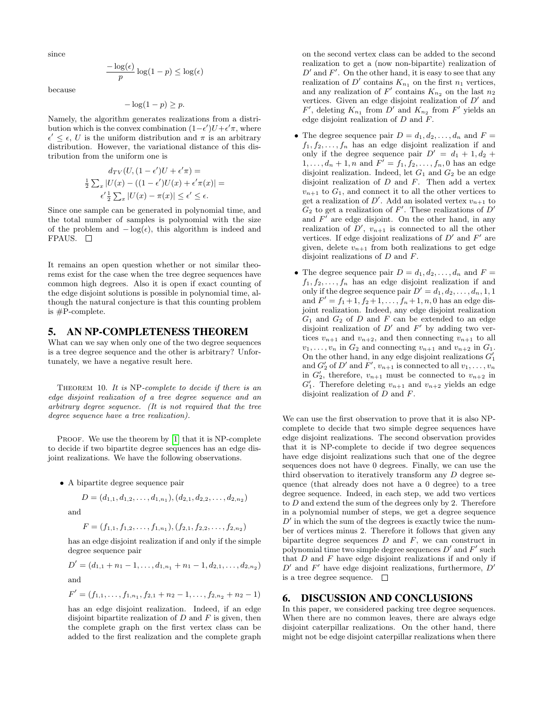since

$$
\frac{-\log(\epsilon)}{p}\log(1-p) \leq \log(\epsilon)
$$

because

$$
-\log(1-p) \ge p.
$$

Namely, the algorithm generates realizations from a distribution which is the convex combination  $(1 - \epsilon')U + \epsilon' \pi$ , where  $\epsilon' \leq \epsilon$ , U is the uniform distribution and  $\pi$  is an arbitrary distribution. However, the variational distance of this distribution from the uniform one is

$$
d_{TV}(U, (1 - \epsilon')U + \epsilon' \pi) =
$$
  

$$
\frac{1}{2} \sum_{x} |U(x) - ((1 - \epsilon')U(x) + \epsilon' \pi(x))| =
$$
  

$$
\epsilon' \frac{1}{2} \sum_{x} |U(x) - \pi(x)| \le \epsilon' \le \epsilon.
$$

Since one sample can be generated in polynomial time, and the total number of samples is polynomial with the size of the problem and  $-\log(\epsilon)$ , this algorithm is indeed and FPAUS.  $\square$ 

It remains an open question whether or not similar theorems exist for the case when the tree degree sequences have common high degrees. Also it is open if exact counting of the edge disjoint solutions is possible in polynomial time, although the natural conjecture is that this counting problem is #P-complete.

#### 5. AN NP-COMPLETENESS THEOREM

What can we say when only one of the two degree sequences is a tree degree sequence and the other is arbitrary? Unfortunately, we have a negative result here.

THEOREM 10. It is NP-complete to decide if there is an edge disjoint realization of a tree degree sequence and an arbitrary degree sequence. (It is not required that the tree degree sequence have a tree realization).

PROOF. We use the theorem by [\[1\]](#page-6-3) that it is NP-complete to decide if two bipartite degree sequences has an edge disjoint realizations. We have the following observations.

• A bipartite degree sequence pair

$$
D = (d_{1,1}, d_{1,2}, \ldots, d_{1,n_1}), (d_{2,1}, d_{2,2}, \ldots, d_{2,n_2})
$$

and

$$
F = (f_{1,1}, f_{1,2}, \ldots, f_{1,n_1}), (f_{2,1}, f_{2,2}, \ldots, f_{2,n_2})
$$

has an edge disjoint realization if and only if the simple degree sequence pair

$$
D' = (d_{1,1} + n_1 - 1, \dots, d_{1,n_1} + n_1 - 1, d_{2,1}, \dots, d_{2,n_2})
$$
  
and

$$
F' = (f_{1,1},\ldots,f_{1,n_1},f_{2,1}+n_2-1,\ldots,f_{2,n_2}+n_2-1)
$$

has an edge disjoint realization. Indeed, if an edge disjoint bipartite realization of  $D$  and  $F$  is given, then the complete graph on the first vertex class can be added to the first realization and the complete graph on the second vertex class can be added to the second realization to get a (now non-bipartite) realization of  $D'$  and  $F'$ . On the other hand, it is easy to see that any realization of  $D'$  contains  $K_{n_1}$  on the first  $n_1$  vertices, and any realization of  $F'$  contains  $K_{n_2}$  on the last  $n_2$ vertices. Given an edge disjoint realization of  $D'$  and  $F'$ , deleting  $K_{n_1}$  from  $D'$  and  $K_{n_2}$  from  $F'$  yields an edge disjoint realization of D and F.

- The degree sequence pair  $D = d_1, d_2, \ldots, d_n$  and  $F =$  $f_1, f_2, \ldots, f_n$  has an edge disjoint realization if and only if the degree sequence pair  $D' = d_1 + 1, d_2 +$  $1, \ldots, d_n + 1, n$  and  $F' = f_1, f_2, \ldots, f_n, 0$  has an edge disjoint realization. Indeed, let  $G_1$  and  $G_2$  be an edge disjoint realization of  $D$  and  $F$ . Then add a vertex  $v_{n+1}$  to  $G_1$ , and connect it to all the other vertices to get a realization of D'. Add an isolated vertex  $v_{n+1}$  to  $G_2$  to get a realization of  $F'$ . These realizations of  $D'$ and  $F'$  are edge disjoint. On the other hand, in any realization of  $D'$ ,  $v_{n+1}$  is connected to all the other vertices. If edge disjoint realizations of  $D'$  and  $F'$  are given, delete  $v_{n+1}$  from both realizations to get edge disjoint realizations of D and F.
- The degree sequence pair  $D = d_1, d_2, \ldots, d_n$  and  $F =$  $f_1, f_2, \ldots, f_n$  has an edge disjoint realization if and only if the degree sequence pair  $D' = d_1, d_2, \ldots, d_n, 1, 1$ and  $F' = f_1 + 1, f_2 + 1, \ldots, f_n + 1, n, 0$  has an edge disjoint realization. Indeed, any edge disjoint realization  $G_1$  and  $G_2$  of  $D$  and  $F$  can be extended to an edge disjoint realization of  $D'$  and  $F'$  by adding two vertices  $v_{n+1}$  and  $v_{n+2}$ , and then connecting  $v_{n+1}$  to all  $v_1, \ldots, v_n$  in  $G_2$  and connecting  $v_{n+1}$  and  $v_{n+2}$  in  $G_1$ . On the other hand, in any edge disjoint realizations  $G_1^\prime$ and  $G'_2$  of D' and F',  $v_{n+1}$  is connected to all  $v_1, \ldots, v_n$ in  $G'_2$ , therefore,  $v_{n+1}$  must be connected to  $v_{n+2}$  in  $G'_{1}$ . Therefore deleting  $v_{n+1}$  and  $v_{n+2}$  yields an edge disjoint realization of D and F.

We can use the first observation to prove that it is also NPcomplete to decide that two simple degree sequences have edge disjoint realizations. The second observation provides that it is NP-complete to decide if two degree sequences have edge disjoint realizations such that one of the degree sequences does not have 0 degrees. Finally, we can use the third observation to iteratively transform any D degree sequence (that already does not have a 0 degree) to a tree degree sequence. Indeed, in each step, we add two vertices to D and extend the sum of the degrees only by 2. Therefore in a polynomial number of steps, we get a degree sequence  $D'$  in which the sum of the degrees is exactly twice the number of vertices minus 2. Therefore it follows that given any bipartite degree sequences  $D$  and  $F$ , we can construct in polynomial time two simple degree sequences  $D'$  and  $F'$  such that  $D$  and  $F$  have edge disjoint realizations if and only if  $D'$  and  $F'$  have edge disjoint realizations, furthermore,  $D'$ is a tree degree sequence.  $\square$ 

#### 6. DISCUSSION AND CONCLUSIONS

In this paper, we considered packing tree degree sequences. When there are no common leaves, there are always edge disjoint caterpillar realizations. On the other hand, there might not be edge disjoint caterpillar realizations when there